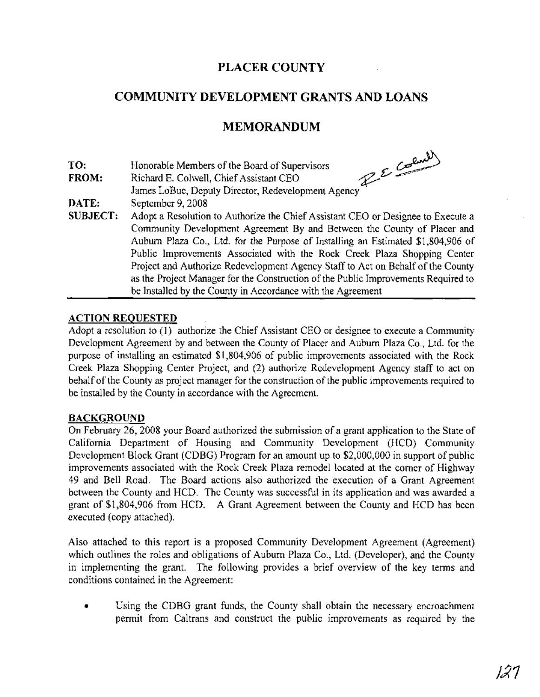## **PLACER COUNTY**

## **COMMUNITY DEVELOPMENT GRANTS AND LOANS**

## **MEMORANDUM**

**TO:**

**FROM:** Honorable Members of the Board of Supervisors<br>Richard E. Colwell, Chief Assistant CEO Richard E. Colwell, Chief Assistant CEO.

**DATE:** James LoBue, Deputy Director, Redevelopment Agency . September 9, 2008

**SUBJECT:** Adopt a Resolution to Authorize the Chief Assistant CEO or Designee to Execute a Community Development Agreement By and Between the County of Placer and Auburn Plaza Co., Ltd. for the Purpose of Installing an Estimated \$1,804,906 of Public Improvements Associated with the Rock Creek Plaza Shopping Center Project and Authorize Redevelopment Agency Staff to Act on Behalf of the County as the Project Manager for the Construction of the Public Improvements Required to be Installed by the County in Accordance with the Agreement

#### **ACTION REQUESTED**

Adopt a resolution to (1) authorize the Chief Assistant CEO or designee to execute a Community Development Agreement by and between the County of Placer and Auburn Plaza Co., Ltd. for the purpose of installing an estimated \$1,804,906 of public improvements associated with the Rock Creek Plaza Shopping Center Project, and (2) authorize Redevelopment Agency staff to act on behalf of the County as project manager for the construction of the public improvements required to be installed by the County in accordance with the Agreement.

#### **BACKGROUND**

On February 26, 2008 your Board authorized the submission of a grant application to the State of California Department of Housing and Community Development (HCD) Community Development Block Grant (CDBG) Program for an amount up to \$2,000,000 in support of public improvements associated with the Rock Creek Plaza remodel located at the comer of Highway 49 and Bell Road. The Board actions also authorized the execution of a Grant Agreement between the County and HCD. The County was successful in its application and was awarded a grant of \$1,804,906 from HCD. A Grant Agreement between the County and HCD has been executed (copy attached).

Also attached to this report is a proposed Community Development Agreement (Agreement) which outlines the roles and obligations of Auburn Plaza Co., Ltd. (Developer), and the County in implementing the grant. The following provides a brief overview of the key terms and conditions contained in the Agreement:

Using the CDBG grant funds, the County shall obtain the necessary encroachment permit from Caltrans and construct the public improvements as required by the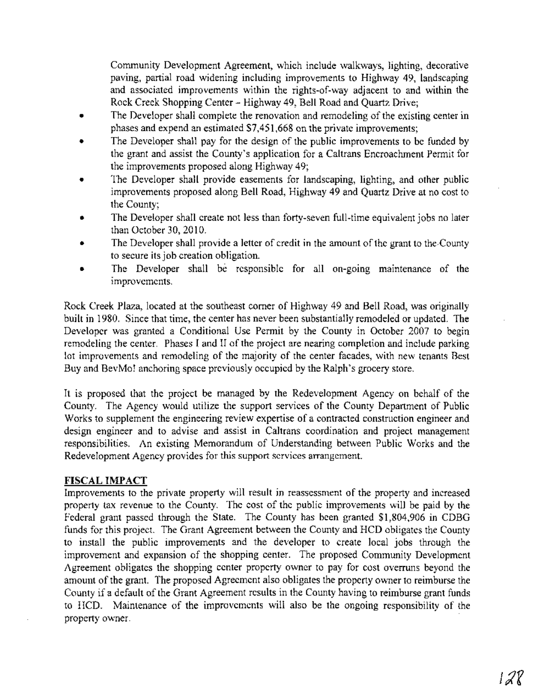Community Development Agreement, which include walkways, lighting, decorative paving, partial road widening including improvements to Highway 49, landscaping and associated improvements within the rights-of-way adjacent to and within the Rock Creek Shopping Center - Highway 49, Bell Road and Quartz Drive;

- The Developer shall complete the renovation and remodeling of the existing center in phases and expend an estimated \$7,451,668 on the private improvements;
- The Developer shall pay for the design of the public improvements to be funded by the grant and assist the County's application for a Caltrans Encroachment Permit for the improvements proposed along Highway 49;
- The Developer shall provide easements for landscaping, lighting, and other public improvements proposed along Bell Road, Highway 49 and Quartz Drive at no cost to the County;
- The Developer shall create not less than forty-seven full-time equivalent jobs no later than October 30, 2010.
- The Developer shall provide a letter of credit in the amount of the grant to the County to secure its job creation obligation.
- The Developer shall be responsible for all on-going maintenance of the improvements.

Rock Creek Plaza, located at the southeast comer of Highway 49 and Bell Road, was originally built in 1980. Since that time, the center has never been substantially remodeled or updated. The Developer was granted a Conditional Use Permit by the County in October 2007 to begin remodeling the center. Phases I and II of the project are nearing completion and include parking lot improvements and remodeling of the majority of the center facades, with new tenants Best Buy and BevMo! anchoring space previously occupied by the Ralph's grocery store.

It is proposed that the project be managed by the Redevelopment Agency on behalf of the County. The Agency would utilize the support services of the County Department of Public Works to supplement the engineering review expertise of a contracted construction engineer and design engineer and to advise and assist in Caltrans coordination and project management responsibilities. An existing Memorandum of Understanding between Public Works and the Redevelopment Agency provides for this support services arrangement.

#### **FISCAL IMPACT**

Improvements to the private property will result in reassessment of the property and increased property tax revenue to the County. The cost of the public improvements will be paid by the Federal grant passed through the State. The County has been granted \$1,804,906 in CDBG funds for this project. The Grant Agreement between the County and HCD obligates the County to install the public improvements and the developer to create local jobs through the improvement and expansion of the shopping center. The proposed Community Development Agreement obligates the shopping center property owner to pay for cost overruns beyond the amount of the grant. The proposed Agreement also obligates the property owner to reimburse the County if a default of the Grant Agreement results in the County having to reimburse grant funds to HCD. Maintenance of the improvements will also be the ongoing responsibility of the property owner.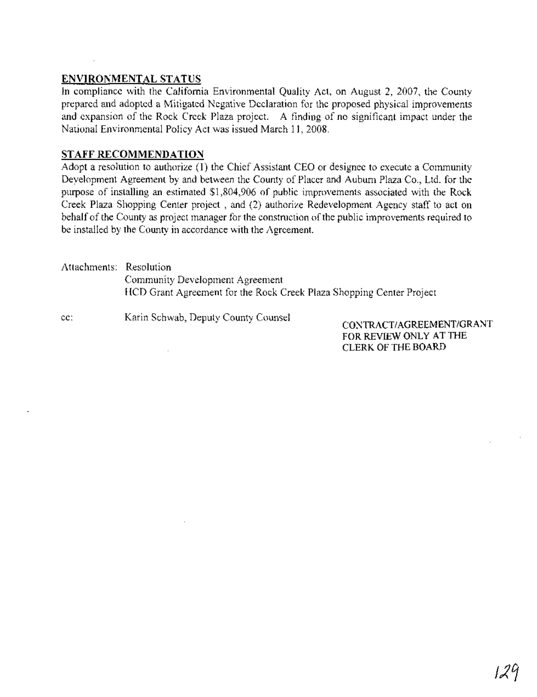#### **ENVIRONMENTAL STATUS**

In compliance with the California Environmental Quality Act, on August 2, 2007, the County prepared and adopted a Mitigated Negative Declaration for the proposed physical improvements and expansion of the Rock Creek Plaza project. A finding of no significant impact under the National Environmental Policy Act was issued March 11,2008.

#### **STAFF RECOMMENDATION**

Adopt a resolution to authorize (1) the Chief Assistant CEO or designee to execute a Community Deyelopment Agreement by and between the County of Placer and Auburn Plaza Co., Ltd. for the purpose of installing an estimated \$1,804,906 of public improvements associated with the Rock Creek Plaza Shopping Center project, and (2) authorize Redevelopment Agency staff to act on behalf of the County as project manager for the construction of the public improvements required to be installed by the County in accordance with the Agreement.

Attachments: Resolution Community Development Agreement HCD Grant Agreement for the Rock Creek Plaza Shopping Center Project

cc: Karin Schwab, Deputy County Counsel

CONTRACT/AGREEMENT/GRANT FOR REVIEW ONLY AT THE CLERK OF THE BOARD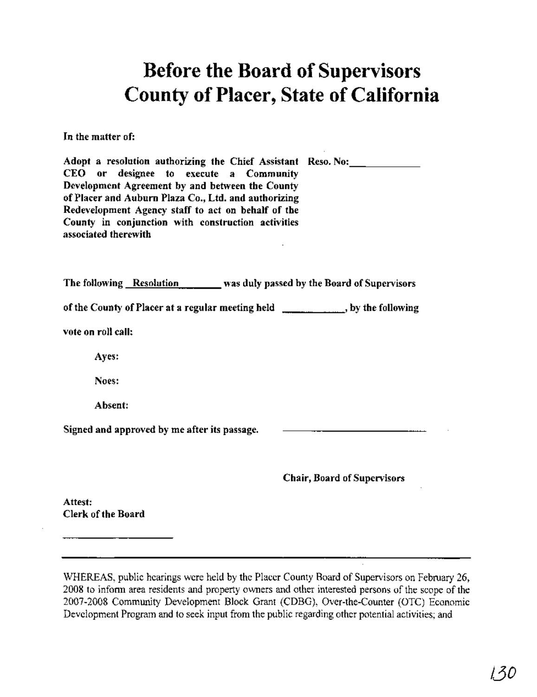# **Before the Board of Supervisors County ofPlacer, State of California**

In the matter of:

| Adopt a resolution authorizing the Chief Assistant Reso. No:<br>CEO or designee to execute a Community<br>Development Agreement by and between the County<br>of Placer and Auburn Plaza Co., Ltd. and authorizing<br>Redevelopment Agency staff to act on behalf of the |                                    |
|-------------------------------------------------------------------------------------------------------------------------------------------------------------------------------------------------------------------------------------------------------------------------|------------------------------------|
| County in conjunction with construction activities<br>associated therewith                                                                                                                                                                                              |                                    |
| The following Resolution News duly passed by the Board of Supervisors                                                                                                                                                                                                   |                                    |
| of the County of Placer at a regular meeting held __________, by the following                                                                                                                                                                                          |                                    |
| vote on roll call:                                                                                                                                                                                                                                                      |                                    |
| Ayes:                                                                                                                                                                                                                                                                   |                                    |
| Noes:                                                                                                                                                                                                                                                                   |                                    |
| Absent:                                                                                                                                                                                                                                                                 |                                    |
| Signed and approved by me after its passage.                                                                                                                                                                                                                            |                                    |
|                                                                                                                                                                                                                                                                         | <b>Chair, Board of Supervisors</b> |

Attest: Clerk of the Board

WHEREAS, public hearings were held by the Placer County Board of Supervisors on February 26, 2008 to infonn area residents and property owners and other interested persons of the scope of the 2007-2008 Community Development Block Grant (CDBG), Over-the-Counter (OTC) Economic Development Program and to seek input from the public regarding other potential activities; and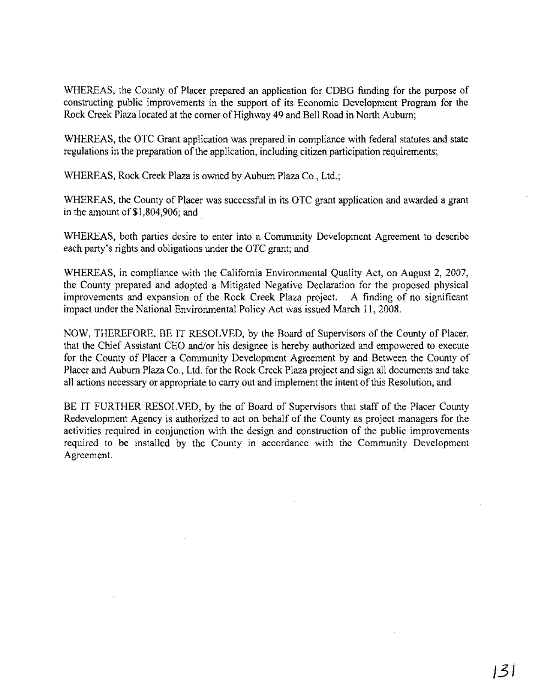WHEREAS, the County of Placer prepared an application for CDBG funding for the purpose of constructing public improvements in the support of its Economic Development Program for the Rock Creek Plaza located at the corner of Highway 49 and Bell Road in North Auburn;

WHEREAS, the OTC Grant application was prepared in compliance with federal statutes and state regulations in the preparation of the application, including citizen participation requirements;

WHEREAS, Rock Creek Plaza is owned by Auburn Plaza Co., Ltd.;

WHEREAS, the County of Placer was successful in its OTC grant application and awarded a grant in the amount of \$1 ,804,906; and

WHEREAS, both parties desire to enter into a Community Development Agreement to describe each party's rights and obligations under the OTC grant; and

WHEREAS, in compliance with the California Environmental Quality Act, on August 2, 2007, the County prepared and adopted a Mitigated Negative Declaration for the proposed physical improvements and expansion of the Rock Creek Plaza project. A finding of no significant impact under the National Environmental Policy Act was issued March 11,2008.

NOW, THEREFORE, BE IT RESOLVED, by the Board of Supervisors of the County of Placer, that the Chief Assistant CEO and/or his designee is hereby authorized and empowered to execute for the County of Placer a Community Development Agreement by and Between the County of Placer and Auburn Plaza Co., Ltd. for the Rock Creek Plaza project and sign all documents and take all actions necessary or appropriate to carry out and implement the intent ofthis Resolution, and

BE IT FURTHER RESOLVED, by the of Board of Supervisors that staff of the Placer County Redevelopment Agency is authorized to act on behalf of the County as project managers for the activities required in conjunction with the design and construction of the public improvements required to be installed by the County in accordance with the Community Development Agreement.